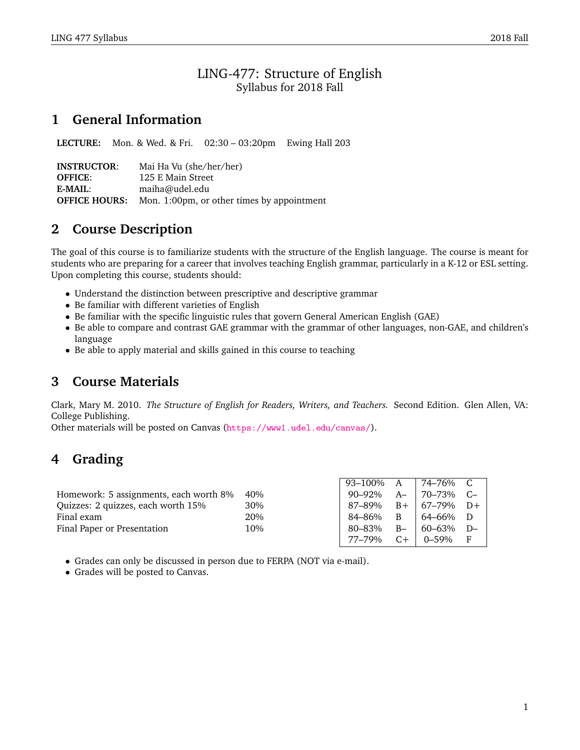### LING-477: Structure of English Syllabus for 2018 Fall

## **1 General Information**

**LECTURE:** Mon. & Wed. & Fri. 02:30 – 03:20pm Ewing Hall 203

**INSTRUCTOR**: Mai Ha Vu (she/her/her) **OFFICE:** 125 E Main Street **E-MAIL**: maiha@udel.edu **OFFICE HOURS:** Mon. 1:00pm, or other times by appointment

# **2 Course Description**

The goal of this course is to familiarize students with the structure of the English language. The course is meant for students who are preparing for a career that involves teaching English grammar, particularly in a K-12 or ESL setting. Upon completing this course, students should:

- Understand the distinction between prescriptive and descriptive grammar
- Be familiar with different varieties of English
- Be familiar with the specific linguistic rules that govern General American English (GAE)
- Be able to compare and contrast GAE grammar with the grammar of other languages, non-GAE, and children's language
- Be able to apply material and skills gained in this course to teaching

# **3 Course Materials**

Clark, Mary M. 2010. *The Structure of English for Readers, Writers, and Teachers.* Second Edition. Glen Allen, VA: College Publishing.

Other materials will be posted on Canvas (<https://www1.udel.edu/canvas/>).

# **4 Grading**

|                                        |     | 93–100% A       |      | <sub>'</sub> 74–76% C   |     |
|----------------------------------------|-----|-----------------|------|-------------------------|-----|
| Homework: 5 assignments, each worth 8% | 40% | 90–92%          | $A-$ | $ 70-73\%$ C-           |     |
| Quizzes: 2 quizzes, each worth 15%     | 30% | 87–89%          |      | $B +   67 - 79\%   D +$ |     |
| Final exam                             | 20% | 84–86%          | B    | 64–66%                  | - D |
| Final Paper or Presentation            | 10% | 80–83%          | $B-$ | $60-63\%$ D-            |     |
|                                        |     | 77–79% C+ 0–59% |      |                         |     |

- Grades can only be discussed in person due to FERPA (NOT via e-mail).
- Grades will be posted to Canvas.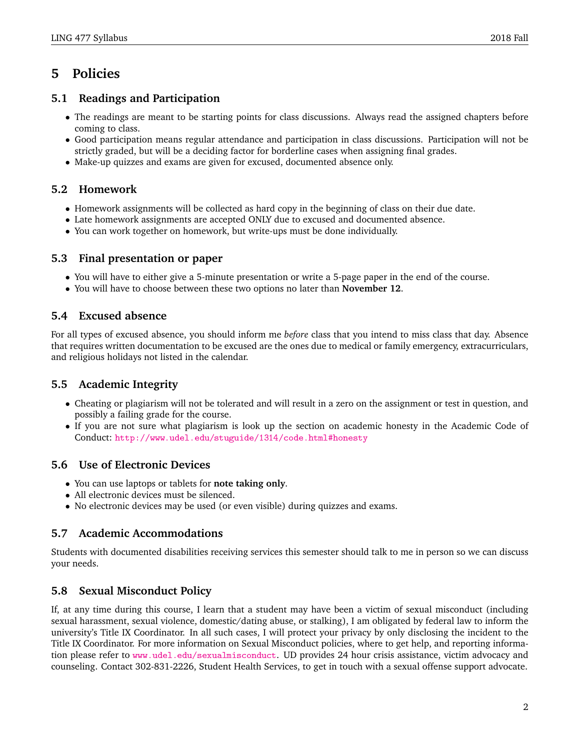# **5 Policies**

### **5.1 Readings and Participation**

- The readings are meant to be starting points for class discussions. Always read the assigned chapters before coming to class.
- Good participation means regular attendance and participation in class discussions. Participation will not be strictly graded, but will be a deciding factor for borderline cases when assigning final grades.
- Make-up quizzes and exams are given for excused, documented absence only.

### **5.2 Homework**

- Homework assignments will be collected as hard copy in the beginning of class on their due date.
- Late homework assignments are accepted ONLY due to excused and documented absence.
- You can work together on homework, but write-ups must be done individually.

#### **5.3 Final presentation or paper**

- You will have to either give a 5-minute presentation or write a 5-page paper in the end of the course.
- You will have to choose between these two options no later than **November 12**.

#### **5.4 Excused absence**

For all types of excused absence, you should inform me *before* class that you intend to miss class that day. Absence that requires written documentation to be excused are the ones due to medical or family emergency, extracurriculars, and religious holidays not listed in the calendar.

### **5.5 Academic Integrity**

- Cheating or plagiarism will not be tolerated and will result in a zero on the assignment or test in question, and possibly a failing grade for the course.
- If you are not sure what plagiarism is look up the section on academic honesty in the Academic Code of Conduct: <http://www.udel.edu/stuguide/1314/code.html#honesty>

#### **5.6 Use of Electronic Devices**

- You can use laptops or tablets for **note taking only**.
- All electronic devices must be silenced.
- No electronic devices may be used (or even visible) during quizzes and exams.

#### **5.7 Academic Accommodations**

Students with documented disabilities receiving services this semester should talk to me in person so we can discuss your needs.

### **5.8 Sexual Misconduct Policy**

If, at any time during this course, I learn that a student may have been a victim of sexual misconduct (including sexual harassment, sexual violence, domestic/dating abuse, or stalking), I am obligated by federal law to inform the university's Title IX Coordinator. In all such cases, I will protect your privacy by only disclosing the incident to the Title IX Coordinator. For more information on Sexual Misconduct policies, where to get help, and reporting information please refer to <www.udel.edu/sexualmisconduct>. UD provides 24 hour crisis assistance, victim advocacy and counseling. Contact 302-831-2226, Student Health Services, to get in touch with a sexual offense support advocate.